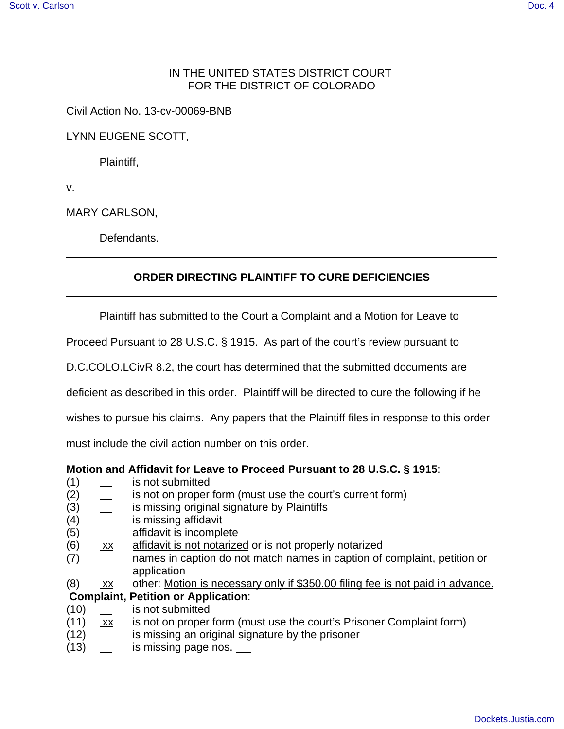## IN THE UNITED STATES DISTRICT COURT FOR THE DISTRICT OF COLORADO

Civil Action No. 13-cv-00069-BNB

LYNN EUGENE SCOTT,

Plaintiff,

v.

MARY CARLSON,

Defendants.

## **ORDER DIRECTING PLAINTIFF TO CURE DEFICIENCIES**

Plaintiff has submitted to the Court a Complaint and a Motion for Leave to

Proceed Pursuant to 28 U.S.C. § 1915. As part of the court's review pursuant to

D.C.COLO.LCivR 8.2, the court has determined that the submitted documents are

deficient as described in this order. Plaintiff will be directed to cure the following if he

wishes to pursue his claims. Any papers that the Plaintiff files in response to this order

must include the civil action number on this order.

## **Motion and Affidavit for Leave to Proceed Pursuant to 28 U.S.C. § 1915**:

- (1) is not submitted
- (2)  $\quad \_$  is not on proper form (must use the court's current form)
- (3) is missing original signature by Plaintiffs
- (4) is missing affidavit
- (5) affidavit is incomplete
- (6) xx affidavit is not notarized or is not properly notarized
- (7) names in caption do not match names in caption of complaint, petition or application
- $(8)$  xx other: Motion is necessary only if \$350.00 filing fee is not paid in advance.

## **Complaint, Petition or Application**:

- (10) is not submitted
- (11)  $\overline{xx}$  is not on proper form (must use the court's Prisoner Complaint form)
- (12) **is missing an original signature by the prisoner**
- (13) contrary is missing page nos.